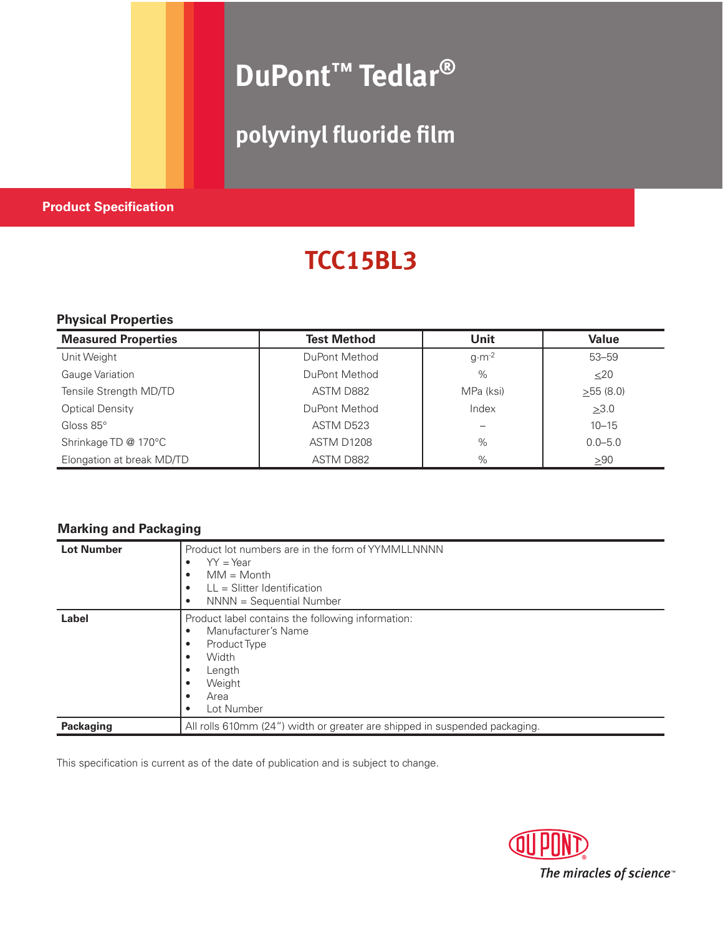# **DuPont™ Tedlar®**

### **polyvinyl fluoride film**

### **Product Specification**

## **TCC15BL3**

### **Physical Properties**

| <b>Measured Properties</b> | <b>Test Method</b> | Unit             | <b>Value</b> |
|----------------------------|--------------------|------------------|--------------|
| Unit Weight                | DuPont Method      | $g \cdot m^{-2}$ | $53 - 59$    |
| Gauge Variation            | DuPont Method      | $\%$             | $<$ 20       |
| Tensile Strength MD/TD     | ASTM D882          | MPa (ksi)        | >55(8.0)     |
| <b>Optical Density</b>     | DuPont Method      | Index            | >3.0         |
| Gloss $85^\circ$           | ASTM D523          |                  | $10 - 15$    |
| Shrinkage TD @ 170°C       | ASTM D1208         | $\%$             | $0.0 - 5.0$  |
| Elongation at break MD/TD  | ASTM D882          | $\%$             | >90          |

### **Marking and Packaging**

| <b>Lot Number</b> | Product lot numbers are in the form of YYMMLLNNNN<br>$YY = Year$<br>٠<br>$MM = Month$<br>$\bullet$<br>$LL =$ Slitter Identification<br>NNNN = Sequential Number<br>$\bullet$ |
|-------------------|------------------------------------------------------------------------------------------------------------------------------------------------------------------------------|
| Label             | Product label contains the following information:<br>Manufacturer's Name<br>$\bullet$<br><b>Product Type</b><br>Width<br>Length<br>Weight<br>Area<br>Lot Number              |
| <b>Packaging</b>  | All rolls 610mm (24") width or greater are shipped in suspended packaging.                                                                                                   |

This specification is current as of the date of publication and is subject to change.